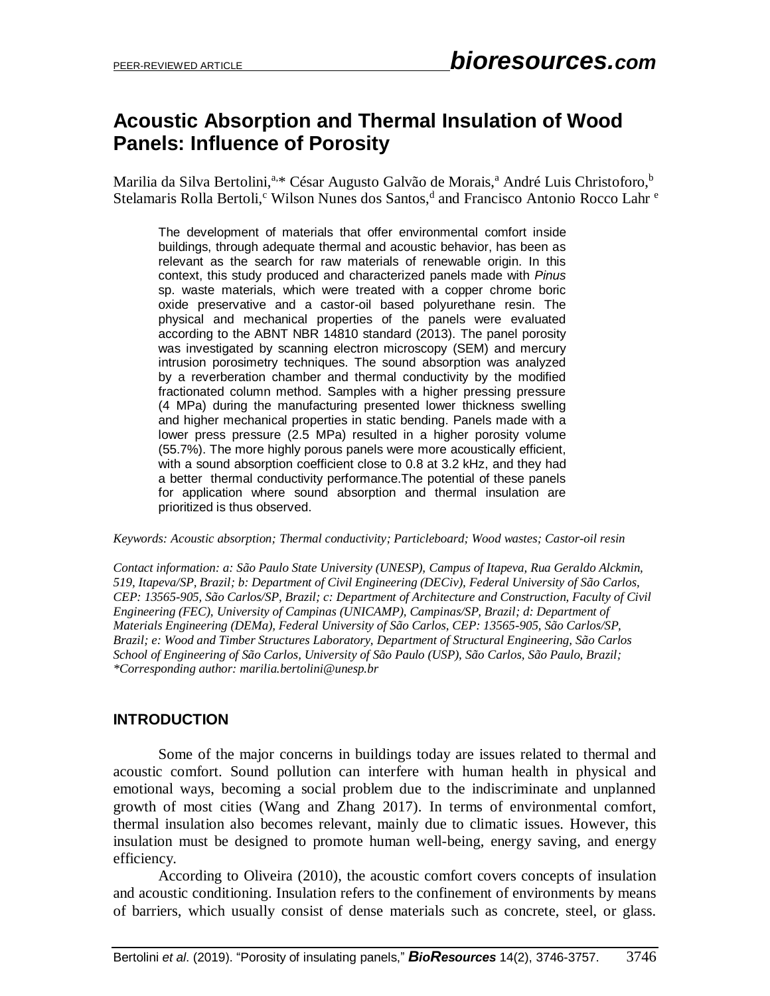# **Acoustic Absorption and Thermal Insulation of Wood Panels: Influence of Porosity**

Marilia da Silva Bertolini,<sup>a,\*</sup> César Augusto Galvão de Morais,<sup>a</sup> André Luis Christoforo,<sup>b</sup> Stelamaris Rolla Bertoli,<sup>c</sup> Wilson Nunes dos Santos,<sup>d</sup> and Francisco Antonio Rocco Lahr <sup>e</sup>

The development of materials that offer environmental comfort inside buildings, through adequate thermal and acoustic behavior, has been as relevant as the search for raw materials of renewable origin. In this context, this study produced and characterized panels made with *Pinus* sp. waste materials, which were treated with a copper chrome boric oxide preservative and a castor-oil based polyurethane resin. The physical and mechanical properties of the panels were evaluated according to the ABNT NBR 14810 standard (2013). The panel porosity was investigated by scanning electron microscopy (SEM) and mercury intrusion porosimetry techniques. The sound absorption was analyzed by a reverberation chamber and thermal conductivity by the modified fractionated column method. Samples with a higher pressing pressure (4 MPa) during the manufacturing presented lower thickness swelling and higher mechanical properties in static bending. Panels made with a lower press pressure (2.5 MPa) resulted in a higher porosity volume (55.7%). The more highly porous panels were more acoustically efficient, with a sound absorption coefficient close to 0.8 at 3.2 kHz, and they had a better thermal conductivity performance.The potential of these panels for application where sound absorption and thermal insulation are prioritized is thus observed.

*Keywords: Acoustic absorption; Thermal conductivity; Particleboard; Wood wastes; Castor-oil resin*

*Contact information: a: São Paulo State University (UNESP), Campus of Itapeva, Rua Geraldo Alckmin, 519, Itapeva/SP, Brazil; b: Department of Civil Engineering (DECiv), Federal University of São Carlos, CEP: 13565-905, São Carlos/SP, Brazil; c: Department of Architecture and Construction, Faculty of Civil Engineering (FEC), University of Campinas (UNICAMP), Campinas/SP, Brazil; d: Department of Materials Engineering (DEMa), Federal University of São Carlos, CEP: 13565-905, São Carlos/SP, Brazil; e: Wood and Timber Structures Laboratory, Department of Structural Engineering, São Carlos School of Engineering of São Carlos, University of São Paulo (USP), São Carlos, São Paulo, Brazil; \*Corresponding author: marilia.bertolini@unesp.br*

## **INTRODUCTION**

Some of the major concerns in buildings today are issues related to thermal and acoustic comfort. Sound pollution can interfere with human health in physical and emotional ways, becoming a social problem due to the indiscriminate and unplanned growth of most cities (Wang and Zhang 2017). In terms of environmental comfort, thermal insulation also becomes relevant, mainly due to climatic issues. However, this insulation must be designed to promote human well-being, energy saving, and energy efficiency.

According to Oliveira (2010), the acoustic comfort covers concepts of insulation and acoustic conditioning. Insulation refers to the confinement of environments by means of barriers, which usually consist of dense materials such as concrete, steel, or glass.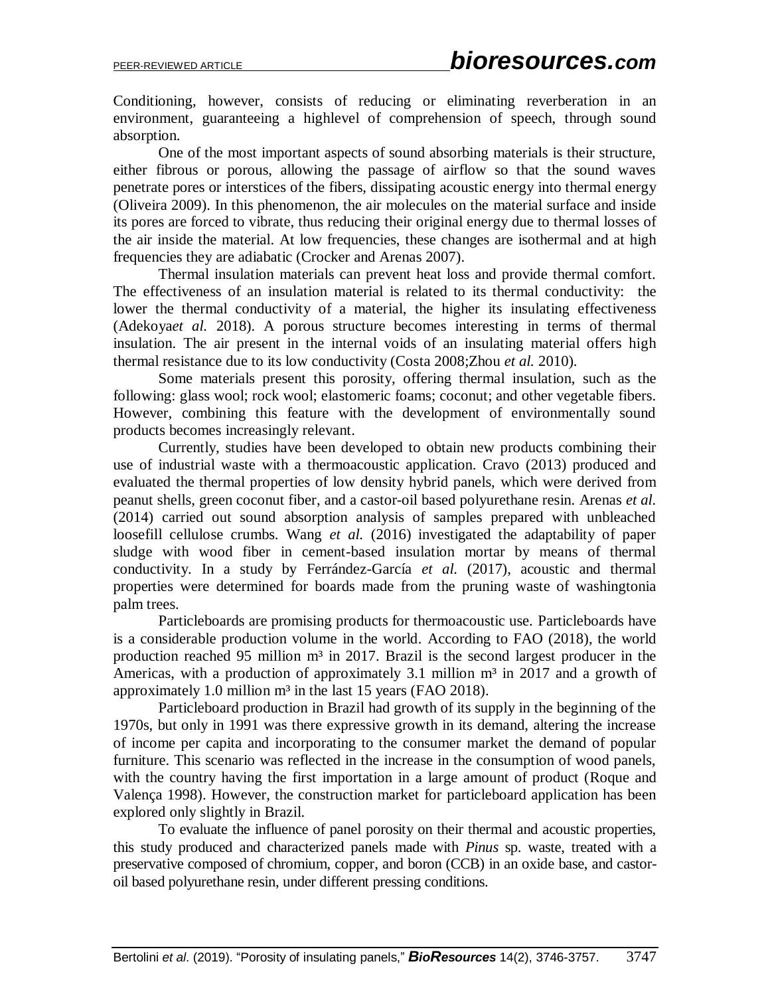Conditioning, however, consists of reducing or eliminating reverberation in an environment, guaranteeing a highlevel of comprehension of speech, through sound absorption.

One of the most important aspects of sound absorbing materials is their structure, either fibrous or porous, allowing the passage of airflow so that the sound waves penetrate pores or interstices of the fibers, dissipating acoustic energy into thermal energy (Oliveira 2009). In this phenomenon, the air molecules on the material surface and inside its pores are forced to vibrate, thus reducing their original energy due to thermal losses of the air inside the material. At low frequencies, these changes are isothermal and at high frequencies they are adiabatic (Crocker and Arenas 2007).

Thermal insulation materials can prevent heat loss and provide thermal comfort. The effectiveness of an insulation material is related to its thermal conductivity: the lower the thermal conductivity of a material, the higher its insulating effectiveness (Adekoya*et al.* 2018). A porous structure becomes interesting in terms of thermal insulation. The air present in the internal voids of an insulating material offers high thermal resistance due to its low conductivity (Costa 2008;Zhou *et al.* 2010).

Some materials present this porosity, offering thermal insulation, such as the following: glass wool; rock wool; elastomeric foams; coconut; and other vegetable fibers. However, combining this feature with the development of environmentally sound products becomes increasingly relevant.

Currently, studies have been developed to obtain new products combining their use of industrial waste with a thermoacoustic application. Cravo (2013) produced and evaluated the thermal properties of low density hybrid panels, which were derived from peanut shells, green coconut fiber, and a castor-oil based polyurethane resin. Arenas *et al.* (2014) carried out sound absorption analysis of samples prepared with unbleached loosefill cellulose crumbs. Wang *et al.* (2016) investigated the adaptability of paper sludge with wood fiber in cement-based insulation mortar by means of thermal conductivity. In a study by Ferrández-García *et al.* (2017), acoustic and thermal properties were determined for boards made from the pruning waste of washingtonia palm trees.

Particleboards are promising products for thermoacoustic use. Particleboards have is a considerable production volume in the world. According to FAO (2018), the world production reached 95 million  $m<sup>3</sup>$  in 2017. Brazil is the second largest producer in the Americas, with a production of approximately 3.1 million  $m<sup>3</sup>$  in 2017 and a growth of approximately 1.0 million  $m<sup>3</sup>$  in the last 15 years (FAO 2018).

Particleboard production in Brazil had growth of its supply in the beginning of the 1970s, but only in 1991 was there expressive growth in its demand, altering the increase of income per capita and incorporating to the consumer market the demand of popular furniture. This scenario was reflected in the increase in the consumption of wood panels, with the country having the first importation in a large amount of product (Roque and Valença 1998). However, the construction market for particleboard application has been explored only slightly in Brazil.

To evaluate the influence of panel porosity on their thermal and acoustic properties, this study produced and characterized panels made with *Pinus* sp. waste, treated with a preservative composed of chromium, copper, and boron (CCB) in an oxide base, and castoroil based polyurethane resin, under different pressing conditions.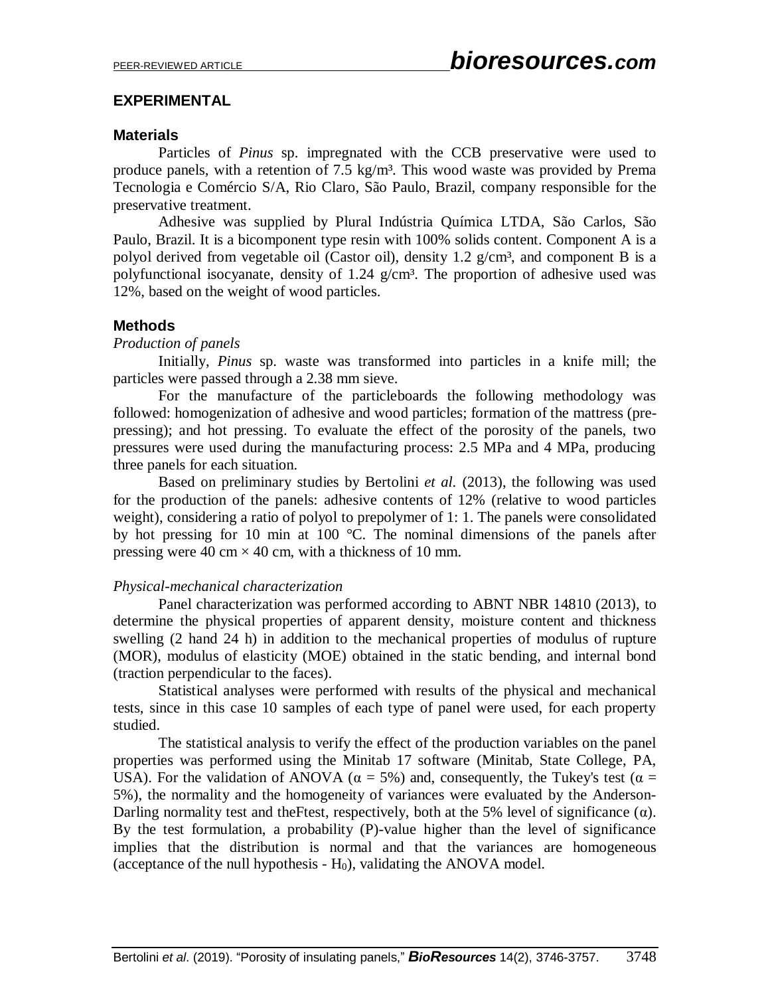## **EXPERIMENTAL**

## **Materials**

Particles of *Pinus* sp. impregnated with the CCB preservative were used to produce panels, with a retention of 7.5 kg/m<sup>3</sup>. This wood waste was provided by Prema Tecnologia e Comércio S/A, Rio Claro, São Paulo, Brazil, company responsible for the preservative treatment.

Adhesive was supplied by Plural Indústria Química LTDA, São Carlos, São Paulo, Brazil. It is a bicomponent type resin with 100% solids content. Component A is a polyol derived from vegetable oil (Castor oil), density 1.2  $g/cm^3$ , and component B is a polyfunctional isocyanate, density of 1.24  $g/cm<sup>3</sup>$ . The proportion of adhesive used was 12%, based on the weight of wood particles.

## **Methods**

#### *Production of panels*

Initially, *Pinus* sp. waste was transformed into particles in a knife mill; the particles were passed through a 2.38 mm sieve.

For the manufacture of the particleboards the following methodology was followed: homogenization of adhesive and wood particles; formation of the mattress (prepressing); and hot pressing. To evaluate the effect of the porosity of the panels, two pressures were used during the manufacturing process: 2.5 MPa and 4 MPa, producing three panels for each situation.

Based on preliminary studies by Bertolini *et al.* (2013), the following was used for the production of the panels: adhesive contents of 12% (relative to wood particles weight), considering a ratio of polyol to prepolymer of 1: 1. The panels were consolidated by hot pressing for 10 min at 100 °C. The nominal dimensions of the panels after pressing were 40 cm  $\times$  40 cm, with a thickness of 10 mm.

#### *Physical-mechanical characterization*

Panel characterization was performed according to ABNT NBR 14810 (2013), to determine the physical properties of apparent density, moisture content and thickness swelling (2 hand 24 h) in addition to the mechanical properties of modulus of rupture (MOR), modulus of elasticity (MOE) obtained in the static bending, and internal bond (traction perpendicular to the faces).

Statistical analyses were performed with results of the physical and mechanical tests, since in this case 10 samples of each type of panel were used, for each property studied.

The statistical analysis to verify the effect of the production variables on the panel properties was performed using the Minitab 17 software (Minitab, State College, PA, USA). For the validation of ANOVA ( $\alpha = 5\%$ ) and, consequently, the Tukey's test ( $\alpha =$ 5%), the normality and the homogeneity of variances were evaluated by the Anderson-Darling normality test and the Ftest, respectively, both at the 5% level of significance  $(\alpha)$ . By the test formulation, a probability (P)-value higher than the level of significance implies that the distribution is normal and that the variances are homogeneous (acceptance of the null hypothesis -  $H_0$ ), validating the ANOVA model.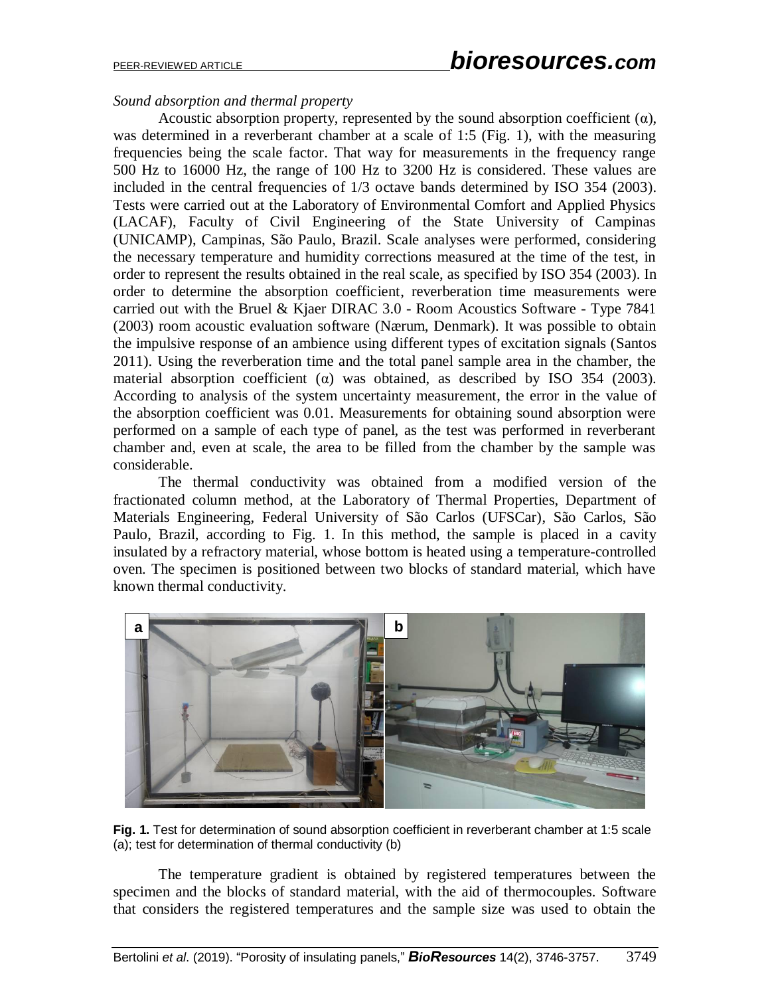### *Sound absorption and thermal property*

Acoustic absorption property, represented by the sound absorption coefficient  $(\alpha)$ , was determined in a reverberant chamber at a scale of 1:5 (Fig. 1), with the measuring frequencies being the scale factor. That way for measurements in the frequency range 500 Hz to 16000 Hz, the range of 100 Hz to 3200 Hz is considered. These values are included in the central frequencies of 1/3 octave bands determined by ISO 354 (2003). Tests were carried out at the Laboratory of Environmental Comfort and Applied Physics (LACAF), Faculty of Civil Engineering of the State University of Campinas (UNICAMP), Campinas, São Paulo, Brazil. Scale analyses were performed, considering the necessary temperature and humidity corrections measured at the time of the test, in order to represent the results obtained in the real scale, as specified by ISO 354 (2003). In order to determine the absorption coefficient, reverberation time measurements were carried out with the Bruel & Kjaer DIRAC 3.0 - Room Acoustics Software - Type 7841 (2003) room acoustic evaluation software (Nærum, Denmark). It was possible to obtain the impulsive response of an ambience using different types of excitation signals (Santos 2011). Using the reverberation time and the total panel sample area in the chamber, the material absorption coefficient (α) was obtained, as described by ISO 354 (2003). According to analysis of the system uncertainty measurement, the error in the value of the absorption coefficient was 0.01. Measurements for obtaining sound absorption were performed on a sample of each type of panel, as the test was performed in reverberant chamber and, even at scale, the area to be filled from the chamber by the sample was considerable.

The thermal conductivity was obtained from a modified version of the fractionated column method, at the Laboratory of Thermal Properties, Department of Materials Engineering, Federal University of São Carlos (UFSCar), São Carlos, São Paulo, Brazil, according to Fig. 1. In this method, the sample is placed in a cavity insulated by a refractory material, whose bottom is heated using a temperature-controlled oven. The specimen is positioned between two blocks of standard material, which have known thermal conductivity.



**Fig. 1.** Test for determination of sound absorption coefficient in reverberant chamber at 1:5 scale (a); test for determination of thermal conductivity (b)

The temperature gradient is obtained by registered temperatures between the specimen and the blocks of standard material, with the aid of thermocouples. Software that considers the registered temperatures and the sample size was used to obtain the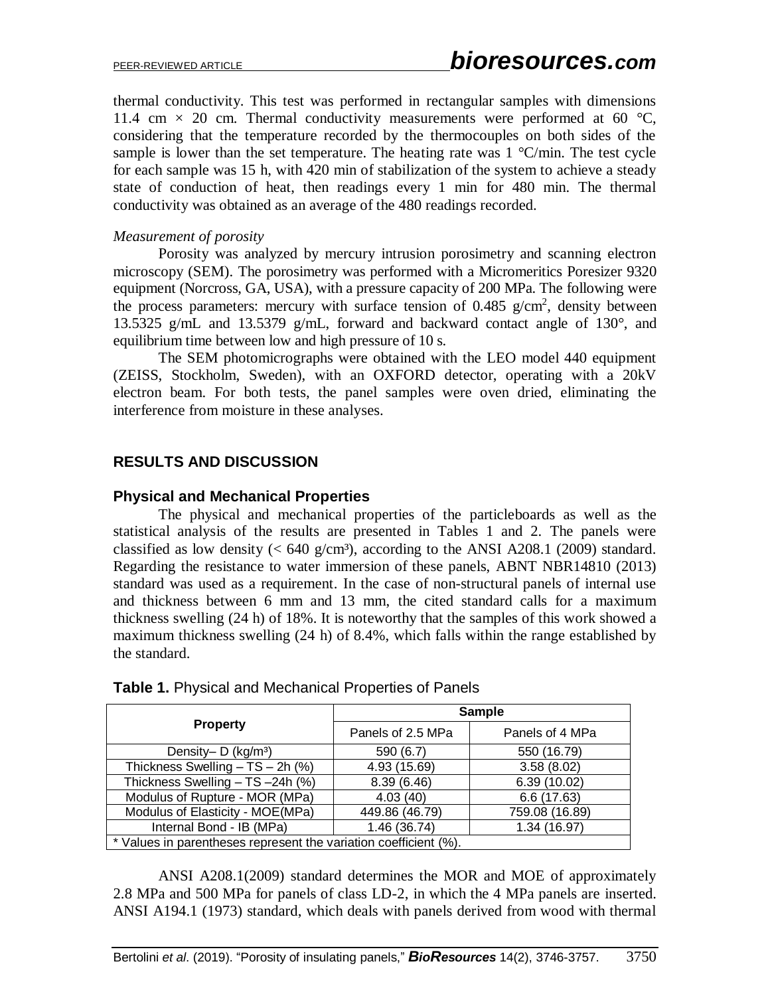thermal conductivity. This test was performed in rectangular samples with dimensions 11.4 cm  $\times$  20 cm. Thermal conductivity measurements were performed at 60 °C, considering that the temperature recorded by the thermocouples on both sides of the sample is lower than the set temperature. The heating rate was  $1 \degree C / \text{min}$ . The test cycle for each sample was 15 h, with 420 min of stabilization of the system to achieve a steady state of conduction of heat, then readings every 1 min for 480 min. The thermal conductivity was obtained as an average of the 480 readings recorded.

#### *Measurement of porosity*

Porosity was analyzed by mercury intrusion porosimetry and scanning electron microscopy (SEM). The porosimetry was performed with a Micromeritics Poresizer 9320 equipment (Norcross, GA, USA), with a pressure capacity of 200 MPa. The following were the process parameters: mercury with surface tension of  $0.485$  g/cm<sup>2</sup>, density between 13.5325 g/mL and 13.5379 g/mL, forward and backward contact angle of 130°, and equilibrium time between low and high pressure of 10 s.

The SEM photomicrographs were obtained with the LEO model 440 equipment (ZEISS, Stockholm, Sweden), with an OXFORD detector, operating with a 20kV electron beam. For both tests, the panel samples were oven dried, eliminating the interference from moisture in these analyses.

## **RESULTS AND DISCUSSION**

#### **Physical and Mechanical Properties**

The physical and mechanical properties of the particleboards as well as the statistical analysis of the results are presented in Tables 1 and 2. The panels were classified as low density  $( $640 \text{ g/cm}^3$ ), according to the ANSI A208.1 (2009) standard.$ Regarding the resistance to water immersion of these panels, ABNT NBR14810 (2013) standard was used as a requirement. In the case of non-structural panels of internal use and thickness between 6 mm and 13 mm, the cited standard calls for a maximum thickness swelling (24 h) of 18%. It is noteworthy that the samples of this work showed a maximum thickness swelling (24 h) of 8.4%, which falls within the range established by the standard.

|                                                                  | Sample            |                 |  |  |
|------------------------------------------------------------------|-------------------|-----------------|--|--|
| <b>Property</b>                                                  | Panels of 2.5 MPa | Panels of 4 MPa |  |  |
| Density- $D$ (kg/m <sup>3</sup> )                                | 590 (6.7)         | 550 (16.79)     |  |  |
| Thickness Swelling - TS - 2h (%)                                 | 4.93 (15.69)      | 3.58(8.02)      |  |  |
| Thickness Swelling - TS -24h (%)                                 | 8.39(6.46)        | 6.39 (10.02)    |  |  |
| Modulus of Rupture - MOR (MPa)                                   | 4.03(40)          | 6.6(17.63)      |  |  |
| Modulus of Elasticity - MOE(MPa)                                 | 449.86 (46.79)    | 759.08 (16.89)  |  |  |
| Internal Bond - IB (MPa)                                         | 1.46 (36.74)      | 1.34 (16.97)    |  |  |
| * Values in parentheses represent the variation coefficient (%). |                   |                 |  |  |

**Table 1.** Physical and Mechanical Properties of Panels

ANSI A208.1(2009) standard determines the MOR and MOE of approximately 2.8 MPa and 500 MPa for panels of class LD-2, in which the 4 MPa panels are inserted. ANSI A194.1 (1973) standard, which deals with panels derived from wood with thermal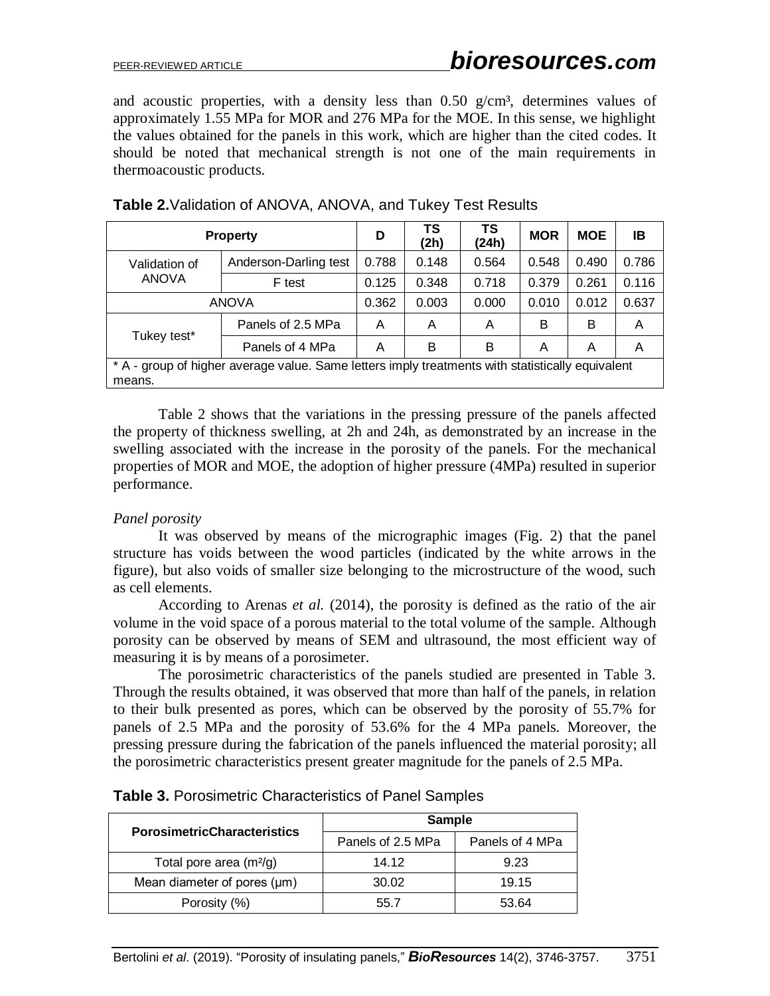and acoustic properties, with a density less than  $0.50$  g/cm<sup>3</sup>, determines values of approximately 1.55 MPa for MOR and 276 MPa for the MOE. In this sense, we highlight the values obtained for the panels in this work, which are higher than the cited codes. It should be noted that mechanical strength is not one of the main requirements in thermoacoustic products.

|                                                                                                            | <b>Property</b>       | D     | TS<br>(2h) | TS<br>(24h) | <b>MOR</b> | <b>MOE</b> | ΙB    |
|------------------------------------------------------------------------------------------------------------|-----------------------|-------|------------|-------------|------------|------------|-------|
| Validation of<br><b>ANOVA</b>                                                                              | Anderson-Darling test | 0.788 | 0.148      | 0.564       | 0.548      | 0.490      | 0.786 |
|                                                                                                            | F test                | 0.125 | 0.348      | 0.718       | 0.379      | 0.261      | 0.116 |
| <b>ANOVA</b>                                                                                               |                       | 0.362 | 0.003      | 0.000       | 0.010      | 0.012      | 0.637 |
| Tukey test*                                                                                                | Panels of 2.5 MPa     | A     | A          | A           | B          | B          | A     |
|                                                                                                            | Panels of 4 MPa       | A     | в          | B           | A          | Α          | A     |
| * A - group of higher average value. Same letters imply treatments with statistically equivalent<br>means. |                       |       |            |             |            |            |       |

## **Table 2.**Validation of ANOVA, ANOVA, and Tukey Test Results

Table 2 shows that the variations in the pressing pressure of the panels affected the property of thickness swelling, at 2h and 24h, as demonstrated by an increase in the swelling associated with the increase in the porosity of the panels. For the mechanical properties of MOR and MOE, the adoption of higher pressure (4MPa) resulted in superior performance.

#### *Panel porosity*

It was observed by means of the micrographic images (Fig. 2) that the panel structure has voids between the wood particles (indicated by the white arrows in the figure), but also voids of smaller size belonging to the microstructure of the wood, such as cell elements.

According to Arenas *et al.* (2014), the porosity is defined as the ratio of the air volume in the void space of a porous material to the total volume of the sample. Although porosity can be observed by means of SEM and ultrasound, the most efficient way of measuring it is by means of a porosimeter.

The porosimetric characteristics of the panels studied are presented in Table 3. Through the results obtained, it was observed that more than half of the panels, in relation to their bulk presented as pores, which can be observed by the porosity of 55.7% for panels of 2.5 MPa and the porosity of 53.6% for the 4 MPa panels. Moreover, the pressing pressure during the fabrication of the panels influenced the material porosity; all the porosimetric characteristics present greater magnitude for the panels of 2.5 MPa.

| <b>PorosimetricCharacteristics</b> | <b>Sample</b>     |                 |  |  |
|------------------------------------|-------------------|-----------------|--|--|
|                                    | Panels of 2.5 MPa | Panels of 4 MPa |  |  |
| Total pore area $(m^2/g)$          | 14.12             | 9.23            |  |  |
| Mean diameter of pores $(\mu m)$   | 30.02             | 19.15           |  |  |
| Porosity (%)                       | 55.7              | 53.64           |  |  |

|  |  | Table 3. Porosimetric Characteristics of Panel Samples |  |  |
|--|--|--------------------------------------------------------|--|--|
|--|--|--------------------------------------------------------|--|--|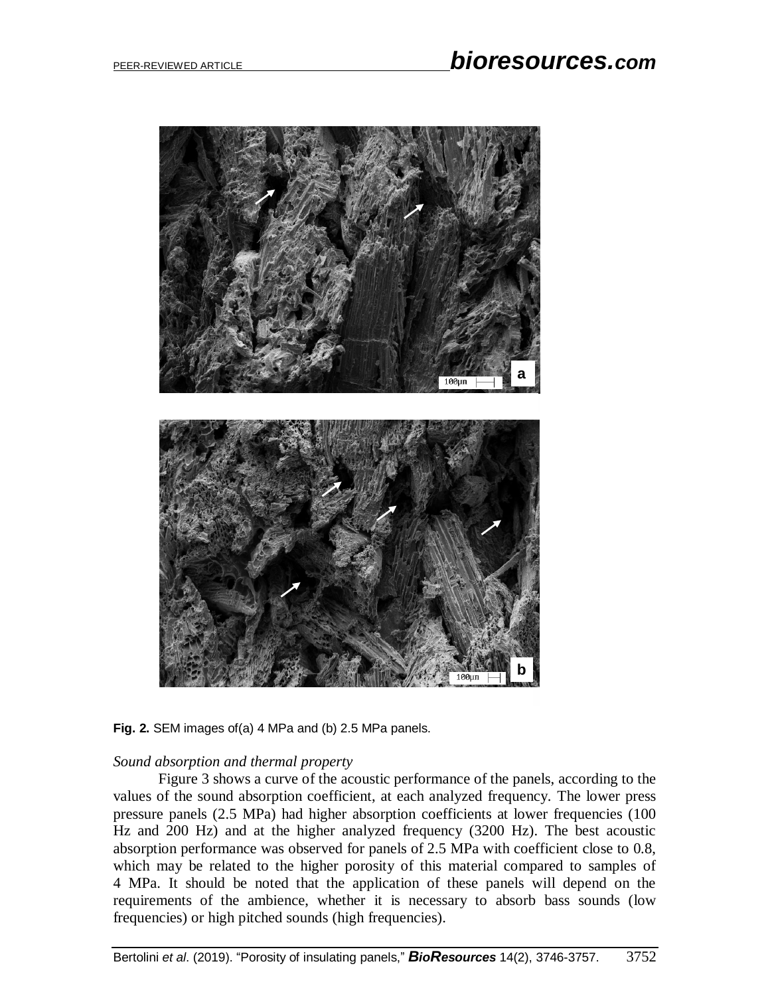

**Fig. 2.** SEM images of(a) 4 MPa and (b) 2.5 MPa panels.

#### *Sound absorption and thermal property*

Figure 3 shows a curve of the acoustic performance of the panels, according to the values of the sound absorption coefficient, at each analyzed frequency. The lower press pressure panels (2.5 MPa) had higher absorption coefficients at lower frequencies (100 Hz and 200 Hz) and at the higher analyzed frequency (3200 Hz). The best acoustic absorption performance was observed for panels of 2.5 MPa with coefficient close to 0.8, which may be related to the higher porosity of this material compared to samples of 4 MPa. It should be noted that the application of these panels will depend on the requirements of the ambience, whether it is necessary to absorb bass sounds (low frequencies) or high pitched sounds (high frequencies).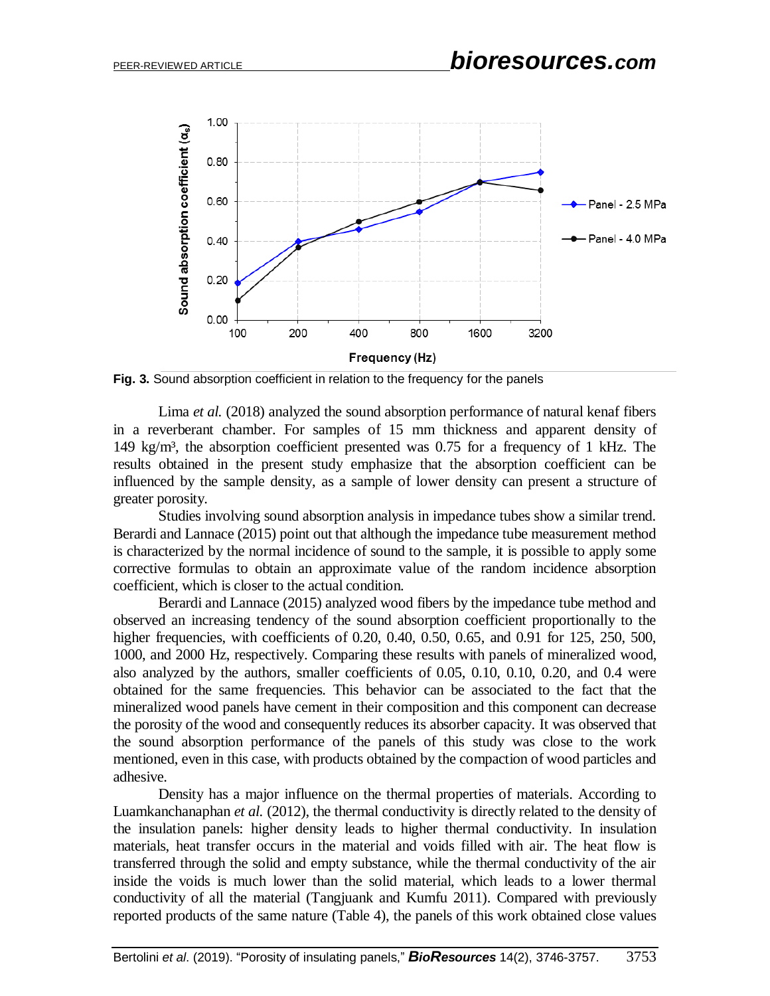

**Fig. 3.** Sound absorption coefficient in relation to the frequency for the panels

Lima *et al.* (2018) analyzed the sound absorption performance of natural kenaf fibers in a reverberant chamber. For samples of 15 mm thickness and apparent density of 149 kg/m³, the absorption coefficient presented was 0.75 for a frequency of 1 kHz. The results obtained in the present study emphasize that the absorption coefficient can be influenced by the sample density, as a sample of lower density can present a structure of greater porosity.

Studies involving sound absorption analysis in impedance tubes show a similar trend. Berardi and Lannace (2015) point out that although the impedance tube measurement method is characterized by the normal incidence of sound to the sample, it is possible to apply some corrective formulas to obtain an approximate value of the random incidence absorption coefficient, which is closer to the actual condition.

Berardi and Lannace (2015) analyzed wood fibers by the impedance tube method and observed an increasing tendency of the sound absorption coefficient proportionally to the higher frequencies, with coefficients of 0.20, 0.40, 0.50, 0.65, and 0.91 for 125, 250, 500, 1000, and 2000 Hz, respectively. Comparing these results with panels of mineralized wood, also analyzed by the authors, smaller coefficients of 0.05, 0.10, 0.10, 0.20, and 0.4 were obtained for the same frequencies. This behavior can be associated to the fact that the mineralized wood panels have cement in their composition and this component can decrease the porosity of the wood and consequently reduces its absorber capacity. It was observed that the sound absorption performance of the panels of this study was close to the work mentioned, even in this case, with products obtained by the compaction of wood particles and adhesive.

Density has a major influence on the thermal properties of materials. According to Luamkanchanaphan *et al.* (2012), the thermal conductivity is directly related to the density of the insulation panels: higher density leads to higher thermal conductivity. In insulation materials, heat transfer occurs in the material and voids filled with air. The heat flow is transferred through the solid and empty substance, while the thermal conductivity of the air inside the voids is much lower than the solid material, which leads to a lower thermal conductivity of all the material (Tangjuank and Kumfu 2011). Compared with previously reported products of the same nature (Table 4), the panels of this work obtained close values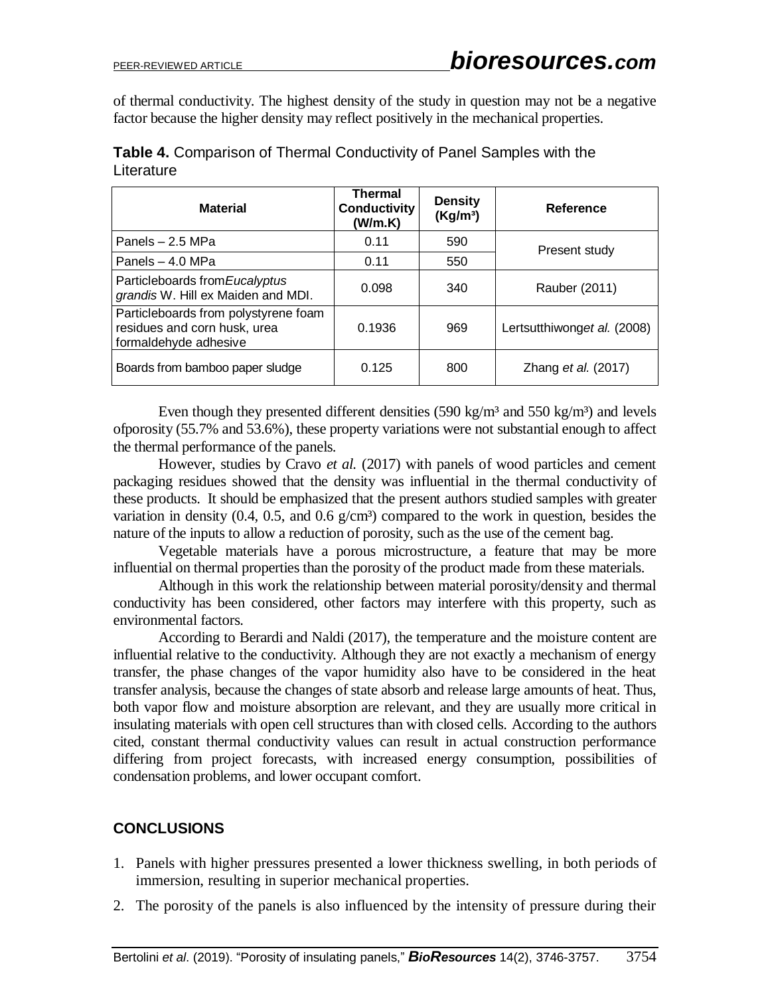of thermal conductivity. The highest density of the study in question may not be a negative factor because the higher density may reflect positively in the mechanical properties.

| <b>Material</b>                                                                               | <b>Thermal</b><br><b>Conductivity</b><br>(W/m.K) | <b>Density</b><br>(Kg/m <sup>3</sup> ) | Reference                   |
|-----------------------------------------------------------------------------------------------|--------------------------------------------------|----------------------------------------|-----------------------------|
| Panels $-2.5$ MPa                                                                             | 0.11                                             | 590                                    | Present study               |
| Panels - 4.0 MPa                                                                              | 0.11                                             | 550                                    |                             |
| Particleboards from Eucalyptus<br>grandis W. Hill ex Maiden and MDI.                          | 0.098                                            | 340                                    | Rauber (2011)               |
| Particleboards from polystyrene foam<br>residues and corn husk, urea<br>formaldehyde adhesive | 0.1936                                           | 969                                    | Lertsutthiwonget al. (2008) |
| Boards from bamboo paper sludge                                                               | 0.125                                            | 800                                    | Zhang et al. (2017)         |

**Table 4.** Comparison of Thermal Conductivity of Panel Samples with the **Literature** 

Even though they presented different densities  $(590 \text{ kg/m}^3 \text{ and } 550 \text{ kg/m}^3)$  and levels ofporosity (55.7% and 53.6%), these property variations were not substantial enough to affect the thermal performance of the panels.

However, studies by Cravo *et al.* (2017) with panels of wood particles and cement packaging residues showed that the density was influential in the thermal conductivity of these products. It should be emphasized that the present authors studied samples with greater variation in density  $(0.4, 0.5, \text{ and } 0.6 \text{ g/cm}^3)$  compared to the work in question, besides the nature of the inputs to allow a reduction of porosity, such as the use of the cement bag.

Vegetable materials have a porous microstructure, a feature that may be more influential on thermal properties than the porosity of the product made from these materials.

Although in this work the relationship between material porosity/density and thermal conductivity has been considered, other factors may interfere with this property, such as environmental factors.

According to Berardi and Naldi (2017), the temperature and the moisture content are influential relative to the conductivity. Although they are not exactly a mechanism of energy transfer, the phase changes of the vapor humidity also have to be considered in the heat transfer analysis, because the changes of state absorb and release large amounts of heat. Thus, both vapor flow and moisture absorption are relevant, and they are usually more critical in insulating materials with open cell structures than with closed cells. According to the authors cited, constant thermal conductivity values can result in actual construction performance differing from project forecasts, with increased energy consumption, possibilities of condensation problems, and lower occupant comfort.

# **CONCLUSIONS**

- 1. Panels with higher pressures presented a lower thickness swelling, in both periods of immersion, resulting in superior mechanical properties.
- 2. The porosity of the panels is also influenced by the intensity of pressure during their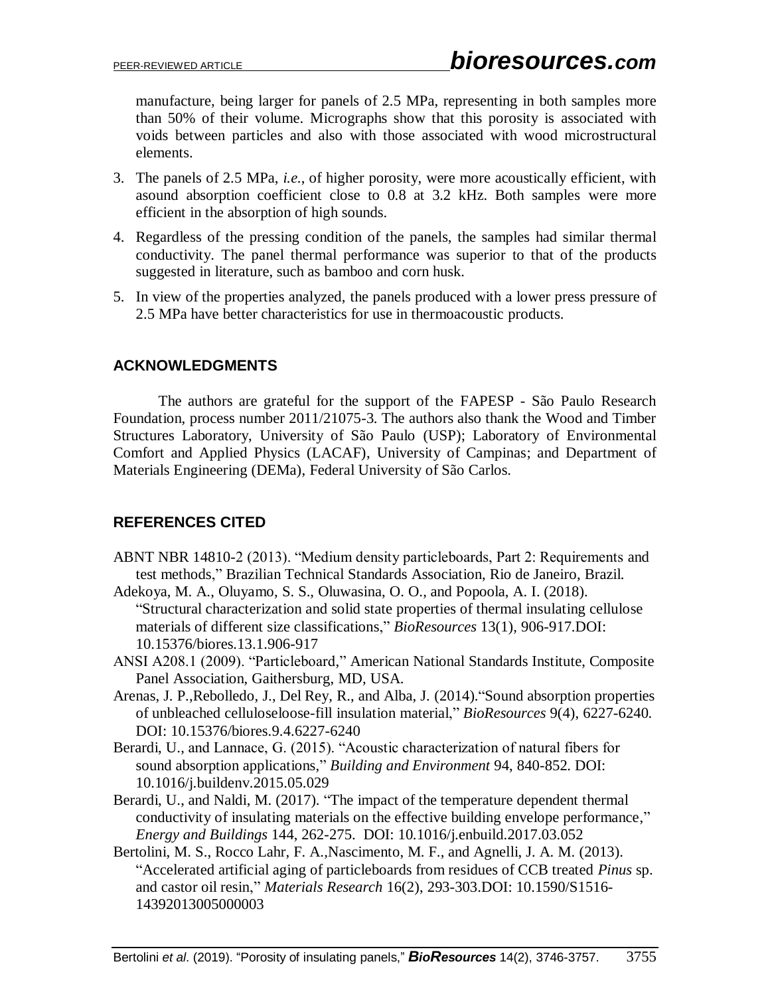manufacture, being larger for panels of 2.5 MPa, representing in both samples more than 50% of their volume. Micrographs show that this porosity is associated with voids between particles and also with those associated with wood microstructural elements.

- 3. The panels of 2.5 MPa, *i.e.*, of higher porosity, were more acoustically efficient, with asound absorption coefficient close to 0.8 at 3.2 kHz. Both samples were more efficient in the absorption of high sounds.
- 4. Regardless of the pressing condition of the panels, the samples had similar thermal conductivity. The panel thermal performance was superior to that of the products suggested in literature, such as bamboo and corn husk.
- 5. In view of the properties analyzed, the panels produced with a lower press pressure of 2.5 MPa have better characteristics for use in thermoacoustic products.

# **ACKNOWLEDGMENTS**

The authors are grateful for the support of the FAPESP - São Paulo Research Foundation, process number 2011/21075-3. The authors also thank the Wood and Timber Structures Laboratory, University of São Paulo (USP); Laboratory of Environmental Comfort and Applied Physics (LACAF), University of Campinas; and Department of Materials Engineering (DEMa), Federal University of São Carlos.

# **REFERENCES CITED**

- ABNT NBR 14810-2 (2013). "Medium density particleboards, Part 2: Requirements and test methods," Brazilian Technical Standards Association, Rio de Janeiro, Brazil.
- Adekoya, M. A., Oluyamo, S. S., Oluwasina, O. O., and Popoola, A. I. (2018). "Structural characterization and solid state properties of thermal insulating cellulose materials of different size classifications," *BioResources* 13(1), 906-917.DOI: 10.15376/biores.13.1.906-917
- ANSI A208.1 (2009). "Particleboard," American National Standards Institute, Composite Panel Association, Gaithersburg, MD, USA.
- Arenas, J. P.,Rebolledo, J., Del Rey, R., and Alba, J. (2014)."Sound absorption properties of unbleached celluloseloose-fill insulation material," *BioResources* 9(4), 6227-6240. DOI: 10.15376/biores.9.4.6227-6240
- Berardi, U., and Lannace, G. (2015). "Acoustic characterization of natural fibers for sound absorption applications," *Building and Environment* 94, 840-852. DOI: 10.1016/j.buildenv.2015.05.029
- Berardi, U., and Naldi, M. (2017). "The impact of the temperature dependent thermal conductivity of insulating materials on the effective building envelope performance," *Energy and Buildings* 144, 262-275. DOI: 10.1016/j.enbuild.2017.03.052
- Bertolini, M. S., Rocco Lahr, F. A., Nascimento, M. F., and Agnelli, J. A. M. (2013). "Accelerated artificial aging of particleboards from residues of CCB treated *Pinus* sp. and castor oil resin," *Materials Research* 16(2), 293-303.DOI: 10.1590/S1516- 14392013005000003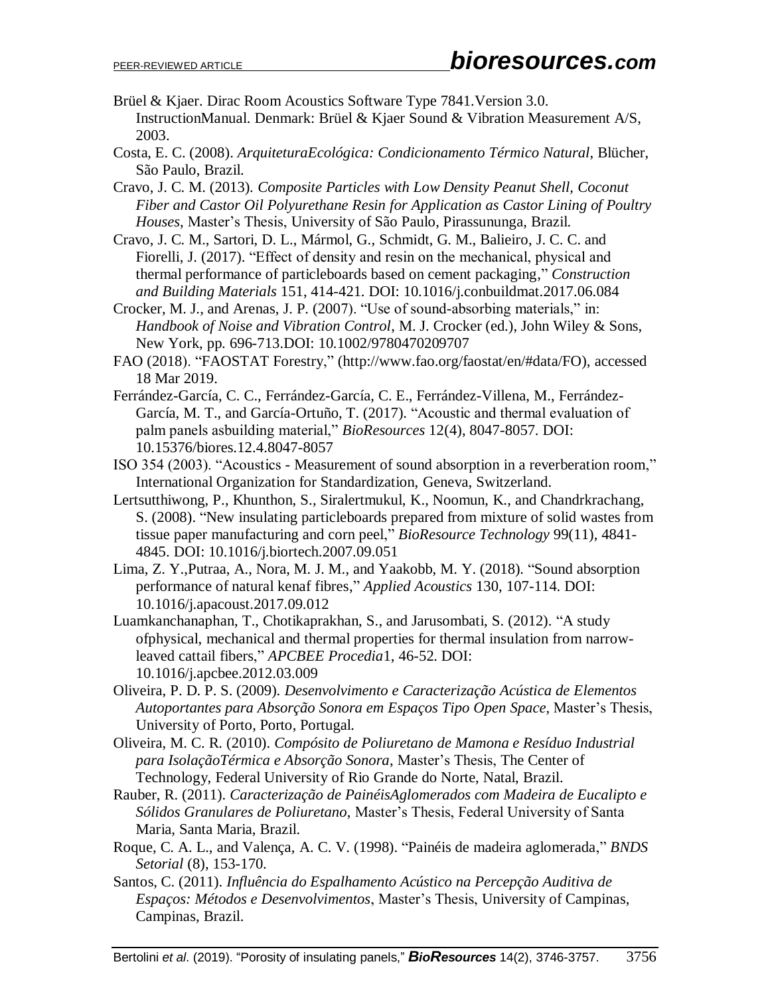- Brüel & Kjaer. Dirac Room Acoustics Software Type 7841.Version 3.0. InstructionManual. Denmark: Brüel & Kjaer Sound & Vibration Measurement A/S, 2003.
- Costa, E. C. (2008). *ArquiteturaEcológica: Condicionamento Térmico Natural*, Blücher, São Paulo, Brazil.
- Cravo, J. C. M. (2013). *Composite Particles with Low Density Peanut Shell, Coconut Fiber and Castor Oil Polyurethane Resin for Application as Castor Lining of Poultry Houses*, Master's Thesis, University of São Paulo, Pirassununga, Brazil.
- Cravo, J. C. M., Sartori, D. L., Mármol, G., Schmidt, G. M., Balieiro, J. C. C. and Fiorelli, J. (2017). "Effect of density and resin on the mechanical, physical and thermal performance of particleboards based on cement packaging," *Construction and Building Materials* 151, 414-421. DOI: 10.1016/j.conbuildmat.2017.06.084
- Crocker, M. J., and Arenas, J. P. (2007). "Use of sound-absorbing materials," in: *Handbook of Noise and Vibration Control*, M. J. Crocker (ed.), John Wiley & Sons, New York, pp. 696-713.DOI: 10.1002/9780470209707
- FAO (2018). "FAOSTAT Forestry," (http://www.fao.org/faostat/en/#data/FO), accessed 18 Mar 2019.
- Ferrández-García, C. C., Ferrández-García, C. E., Ferrández-Villena, M., Ferrández-García, M. T., and García-Ortuño, T. (2017). "Acoustic and thermal evaluation of palm panels asbuilding material," *BioResources* 12(4), 8047-8057. DOI: 10.15376/biores.12.4.8047-8057
- ISO 354 (2003). "Acoustics Measurement of sound absorption in a reverberation room," International Organization for Standardization, Geneva, Switzerland.
- Lertsutthiwong, P., Khunthon, S., Siralertmukul, K., Noomun, K., and Chandrkrachang, S. (2008). "New insulating particleboards prepared from mixture of solid wastes from tissue paper manufacturing and corn peel," *BioResource Technology* 99(11), 4841- 4845. DOI: 10.1016/j.biortech.2007.09.051
- Lima, Z. Y.,Putraa, A., Nora, M. J. M., and Yaakobb, M. Y. (2018). "Sound absorption performance of natural kenaf fibres," *Applied Acoustics* 130, 107-114. DOI: 10.1016/j.apacoust.2017.09.012
- Luamkanchanaphan, T., Chotikaprakhan, S., and Jarusombati, S. (2012). "A study ofphysical, mechanical and thermal properties for thermal insulation from narrowleaved cattail fibers," *APCBEE Procedia*1, 46-52. DOI: 10.1016/j.apcbee.2012.03.009
- Oliveira, P. D. P. S. (2009). *Desenvolvimento e Caracterização Acústica de Elementos Autoportantes para Absorção Sonora em Espaços Tipo Open Space*, Master's Thesis, University of Porto, Porto, Portugal.
- Oliveira, M. C. R. (2010). *Compósito de Poliuretano de Mamona e Resíduo Industrial para IsolaçãoTérmica e Absorção Sonora*, Master's Thesis, The Center of Technology, Federal University of Rio Grande do Norte, Natal, Brazil.
- Rauber, R. (2011). *Caracterização de PainéisAglomerados com Madeira de Eucalipto e Sólidos Granulares de Poliuretano*, Master's Thesis, Federal University of Santa Maria, Santa Maria, Brazil.
- Roque, C. A. L., and Valença, A. C. V. (1998). "Painéis de madeira aglomerada," *BNDS Setorial* (8), 153-170.
- Santos, C. (2011). *Influência do Espalhamento Acústico na Percepção Auditiva de Espaços: Métodos e Desenvolvimentos*, Master's Thesis, University of Campinas, Campinas, Brazil.